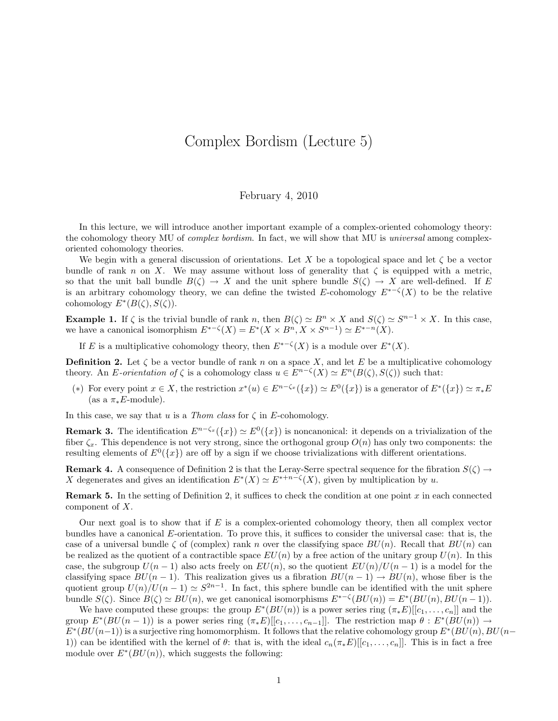## Complex Bordism (Lecture 5)

## February 4, 2010

In this lecture, we will introduce another important example of a complex-oriented cohomology theory: the cohomology theory MU of *complex bordism*. In fact, we will show that MU is *universal* among complexoriented cohomology theories.

We begin with a general discussion of orientations. Let X be a topological space and let  $\zeta$  be a vector bundle of rank n on X. We may assume without loss of generality that  $\zeta$  is equipped with a metric, so that the unit ball bundle  $B(\zeta) \to X$  and the unit sphere bundle  $S(\zeta) \to X$  are well-defined. If E is an arbitrary cohomology theory, we can define the twisted E-cohomology  $E^{*-\zeta}(X)$  to be the relative cohomology  $E^*(B(\zeta), S(\zeta))$ .

**Example 1.** If  $\zeta$  is the trivial bundle of rank n, then  $B(\zeta) \simeq B^n \times X$  and  $S(\zeta) \simeq S^{n-1} \times X$ . In this case, we have a canonical isomorphism  $E^{*-{\zeta}}(X) = E^*(X \times B^n, X \times S^{n-1}) \simeq E^{*-n}(X)$ .

If E is a multiplicative cohomology theory, then  $E^{*-{\zeta}}(X)$  is a module over  $E^*(X)$ .

**Definition 2.** Let  $\zeta$  be a vector bundle of rank n on a space X, and let E be a multiplicative cohomology theory. An E-orientation of  $\zeta$  is a cohomology class  $u \in E^{n-\zeta}(X) \simeq E^{n}(B(\zeta), S(\zeta))$  such that:

(\*) For every point  $x \in X$ , the restriction  $x^*(u) \in E^{n-\zeta_x}(\{x\}) \simeq E^0(\{x\})$  is a generator of  $E^*(\{x\}) \simeq \pi_*E$ (as a  $\pi_* E$ -module).

In this case, we say that u is a Thom class for  $\zeta$  in E-cohomology.

**Remark 3.** The identification  $E^{n-\zeta_x}(\{x\}) \simeq E^0(\{x\})$  is noncanonical: it depends on a trivialization of the fiber  $\zeta_x$ . This dependence is not very strong, since the orthogonal group  $O(n)$  has only two components: the resulting elements of  $E^0({x})$  are off by a sign if we choose trivializations with different orientations.

**Remark 4.** A consequence of Definition 2 is that the Leray-Serre spectral sequence for the fibration  $S(\zeta) \rightarrow$ X degenerates and gives an identification  $E^*(X) \simeq E^{*+n-\zeta}(X)$ , given by multiplication by u.

**Remark 5.** In the setting of Definition 2, it suffices to check the condition at one point x in each connected component of X.

Our next goal is to show that if  $E$  is a complex-oriented cohomology theory, then all complex vector bundles have a canonical E-orientation. To prove this, it suffices to consider the universal case: that is, the case of a universal bundle  $\zeta$  of (complex) rank n over the classifying space  $BU(n)$ . Recall that  $BU(n)$  can be realized as the quotient of a contractible space  $EU(n)$  by a free action of the unitary group  $U(n)$ . In this case, the subgroup  $U(n-1)$  also acts freely on  $EU(n)$ , so the quotient  $EU(n)/U(n-1)$  is a model for the classifying space  $BU(n-1)$ . This realization gives us a fibration  $BU(n-1) \rightarrow BU(n)$ , whose fiber is the quotient group  $U(n)/U(n-1) \simeq S^{2n-1}$ . In fact, this sphere bundle can be identified with the unit sphere bundle  $S(\zeta)$ . Since  $B(\zeta) \simeq BU(n)$ , we get canonical isomorphisms  $E^{*- \zeta}(BU(n)) = E^*(BU(n), BU(n-1)).$ 

We have computed these groups: the group  $E^*(BU(n))$  is a power series ring  $(\pi_*E)[[c_1,\ldots,c_n]]$  and the group  $E^*(BU(n-1))$  is a power series ring  $(\pi_*E)[[c_1,\ldots,c_{n-1}]]$ . The restriction map  $\theta : E^*(BU(n)) \to$  $E^*(BU(n-1))$  is a surjective ring homomorphism. It follows that the relative cohomology group  $E^*(BU(n), BU(n-1))$ 1)) can be identified with the kernel of  $\theta$ : that is, with the ideal  $c_n(\pi_*E)[[c_1, \ldots, c_n]]$ . This is in fact a free module over  $E^*(BU(n))$ , which suggests the following: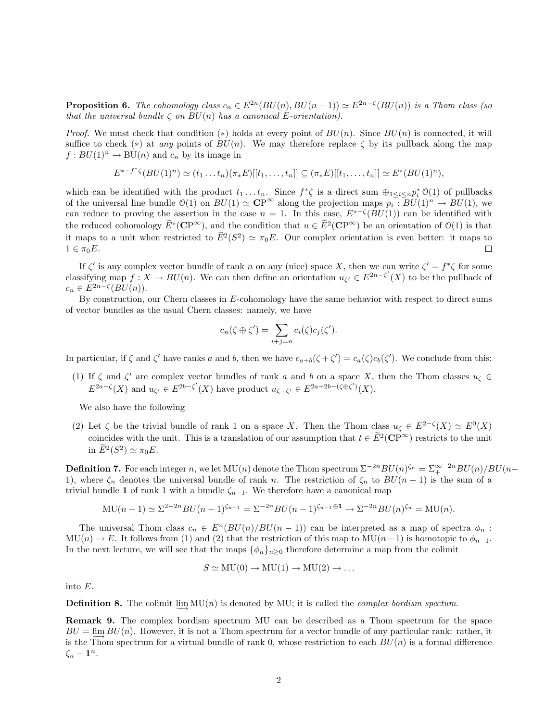**Proposition 6.** The cohomology class  $c_n \in E^{2n}(BU(n), BU(n-1)) \simeq E^{2n-\zeta}(BU(n))$  is a Thom class (so that the universal bundle  $\zeta$  on  $BU(n)$  has a canonical E-orientation).

*Proof.* We must check that condition (\*) holds at every point of  $BU(n)$ . Since  $BU(n)$  is connected, it will suffice to check (\*) at any points of  $BU(n)$ . We may therefore replace  $\zeta$  by its pullback along the map  $f: BU(1)^n \to BU(n)$  and  $c_n$  by its image in

$$
E^{*-f^*\zeta}(BU(1)^n) \simeq (t_1 \dots t_n)(\pi_*E)[[t_1, \dots, t_n]] \subseteq (\pi_*E)[[t_1, \dots, t_n]] \simeq E^*(BU(1)^n),
$$

which can be identified with the product  $t_1 \ldots t_n$ . Since  $f^* \zeta$  is a direct sum  $\bigoplus_{1 \leq i \leq n} p_i^* \mathcal{O}(1)$  of pullbacks of the universal line bundle  $\mathcal{O}(1)$  on  $BU(1) \simeq \mathbb{CP}^{\infty}$  along the projection maps  $p_i : BU(1)^n \to BU(1)$ , we can reduce to proving the assertion in the case  $n = 1$ . In this case,  $E^{*-{\zeta}}(BU(1))$  can be identified with the reduced cohomology  $\widetilde{E}^*(\mathbf{CP}^{\infty})$ , and the condition that  $u \in \widetilde{E}^2(\mathbf{CP}^{\infty})$  be an orientation of  $\mathcal{O}(1)$  is that it maps to a unit when restricted to  $\tilde{E}^2(S^2) \simeq \pi_0 E$ . Our complex orientation is even better: it maps to  $1 \in \pi_0 E$ .  $\Box$ 

If  $\zeta'$  is any complex vector bundle of rank n on any (nice) space X, then we can write  $\zeta' = f^* \zeta$  for some classifying map  $f: X \to BU(n)$ . We can then define an orientation  $u_{\zeta} \in E^{2n-\zeta'}(X)$  to be the pullback of  $c_n \in E^{2n-\zeta}(BU(n)).$ 

By construction, our Chern classes in E-cohomology have the same behavior with respect to direct sums of vector bundles as the usual Chern classes: namely, we have

$$
c_n(\zeta \oplus \zeta') = \sum_{i+j=n} c_i(\zeta) c_j(\zeta').
$$

In particular, if  $\zeta$  and  $\zeta'$  have ranks a and b, then we have  $c_{a+b}(\zeta+\zeta')=c_a(\zeta)c_b(\zeta')$ . We conclude from this:

(1) If  $\zeta$  and  $\zeta'$  are complex vector bundles of rank a and b on a space X, then the Thom classes  $u_{\zeta} \in$  $E^{2a-\zeta}(X)$  and  $u_{\zeta'} \in E^{2b-\zeta'}(X)$  have product  $u_{\zeta+\zeta'} \in E^{2a+2b-(\zeta \oplus \zeta')}(X)$ .

We also have the following

(2) Let  $\zeta$  be the trivial bundle of rank 1 on a space X. Then the Thom class  $u_{\zeta} \in E^{2-\zeta}(X) \simeq E^{0}(X)$ coincides with the unit. This is a translation of our assumption that  $t \in \widetilde{E}^2(\mathbf{CP}^{\infty})$  restricts to the unit in  $\widetilde{E}^2(S^2) \simeq \pi_0 E$ .

**Definition 7.** For each integer n, we let  $MU(n)$  denote the Thom spectrum  $\Sigma^{-2n}BU(n)^{\zeta_n} = \Sigma_+^{\infty-2n}BU(n)/BU(n-1)$ 1), where  $\zeta_n$  denotes the universal bundle of rank n. The restriction of  $\zeta_n$  to  $BU(n-1)$  is the sum of a trivial bundle 1 of rank 1 with a bundle  $\zeta_{n-1}$ . We therefore have a canonical map

$$
MU(n-1) \simeq \Sigma^{2-2n} BU(n-1)^{\zeta_{n-1}} = \Sigma^{-2n} BU(n-1)^{\zeta_{n-1} \oplus 1} \to \Sigma^{-2n} BU(n)^{\zeta_n} = MU(n).
$$

The universal Thom class  $c_n \in E^n(BU(n)/BU(n-1))$  can be interpreted as a map of spectra  $\phi_n$ :  $MU(n) \to E$ . It follows from (1) and (2) that the restriction of this map to  $MU(n-1)$  is homotopic to  $\phi_{n-1}$ . In the next lecture, we will see that the maps  $\{\phi_n\}_{n>0}$  therefore determine a map from the colimit

$$
S \simeq MU(0) \to MU(1) \to MU(2) \to \dots
$$

into E.

**Definition 8.** The colimit  $\varinjlim_{n} \text{MU}(n)$  is denoted by MU; it is called the *complex bordism spectum*.

Remark 9. The complex bordism spectrum MU can be described as a Thom spectrum for the space  $BU = \lim_{n \to \infty} BU(n)$ . However, it is not a Thom spectrum for a vector bundle of any particular rank: rather, it is the Thom spectrum for a virtual bundle of rank 0, whose restriction to each  $BU(n)$  is a formal difference  $\zeta_n-\mathbf{1}^n.$